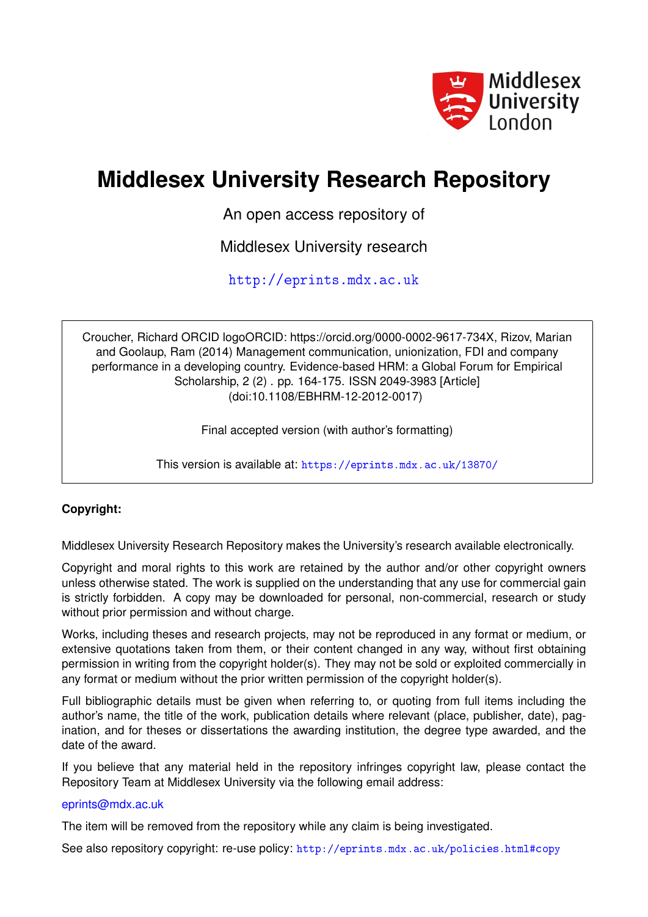

# **Middlesex University Research Repository**

An open access repository of

Middlesex University research

<http://eprints.mdx.ac.uk>

Croucher, Richard ORCID logoORCID: https://orcid.org/0000-0002-9617-734X, Rizov, Marian and Goolaup, Ram (2014) Management communication, unionization, FDI and company performance in a developing country. Evidence-based HRM: a Global Forum for Empirical Scholarship, 2 (2) . pp. 164-175. ISSN 2049-3983 [Article] (doi:10.1108/EBHRM-12-2012-0017)

Final accepted version (with author's formatting)

This version is available at: <https://eprints.mdx.ac.uk/13870/>

# **Copyright:**

Middlesex University Research Repository makes the University's research available electronically.

Copyright and moral rights to this work are retained by the author and/or other copyright owners unless otherwise stated. The work is supplied on the understanding that any use for commercial gain is strictly forbidden. A copy may be downloaded for personal, non-commercial, research or study without prior permission and without charge.

Works, including theses and research projects, may not be reproduced in any format or medium, or extensive quotations taken from them, or their content changed in any way, without first obtaining permission in writing from the copyright holder(s). They may not be sold or exploited commercially in any format or medium without the prior written permission of the copyright holder(s).

Full bibliographic details must be given when referring to, or quoting from full items including the author's name, the title of the work, publication details where relevant (place, publisher, date), pagination, and for theses or dissertations the awarding institution, the degree type awarded, and the date of the award.

If you believe that any material held in the repository infringes copyright law, please contact the Repository Team at Middlesex University via the following email address:

# [eprints@mdx.ac.uk](mailto:eprints@mdx.ac.uk)

The item will be removed from the repository while any claim is being investigated.

See also repository copyright: re-use policy: <http://eprints.mdx.ac.uk/policies.html#copy>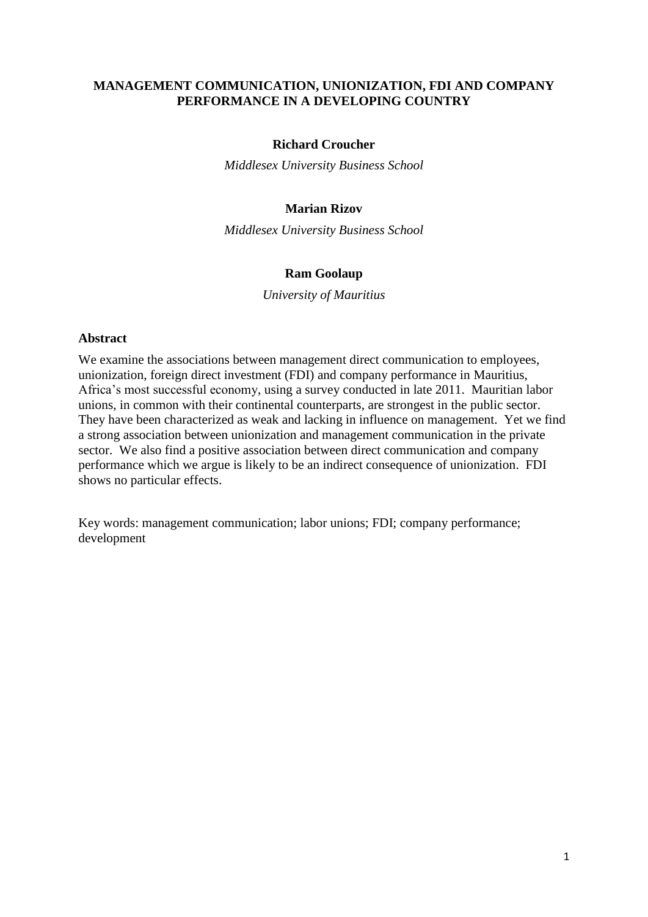# **MANAGEMENT COMMUNICATION, UNIONIZATION, FDI AND COMPANY PERFORMANCE IN A DEVELOPING COUNTRY**

## **Richard Croucher**

*Middlesex University Business School*

## **Marian Rizov**

*Middlesex University Business School*

#### **Ram Goolaup**

*University of Mauritius*

#### **Abstract**

We examine the associations between management direct communication to employees, unionization, foreign direct investment (FDI) and company performance in Mauritius, Africa's most successful economy, using a survey conducted in late 2011. Mauritian labor unions, in common with their continental counterparts, are strongest in the public sector. They have been characterized as weak and lacking in influence on management. Yet we find a strong association between unionization and management communication in the private sector. We also find a positive association between direct communication and company performance which we argue is likely to be an indirect consequence of unionization. FDI shows no particular effects.

Key words: management communication; labor unions; FDI; company performance; development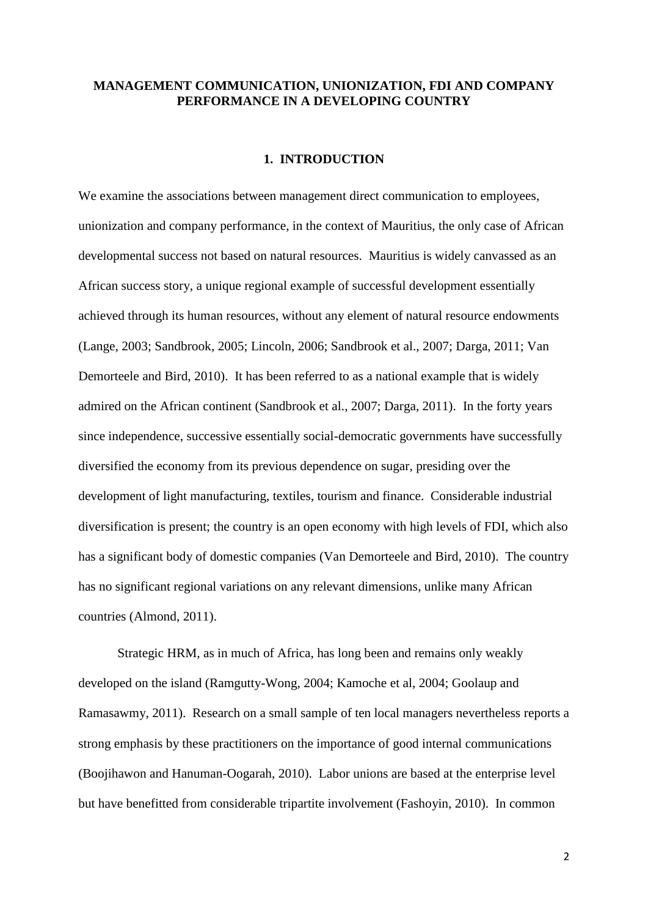## **MANAGEMENT COMMUNICATION, UNIONIZATION, FDI AND COMPANY PERFORMANCE IN A DEVELOPING COUNTRY**

## **1. INTRODUCTION**

We examine the associations between management direct communication to employees, unionization and company performance, in the context of Mauritius, the only case of African developmental success not based on natural resources. Mauritius is widely canvassed as an African success story, a unique regional example of successful development essentially achieved through its human resources, without any element of natural resource endowments (Lange, 2003; Sandbrook, 2005; Lincoln, 2006; Sandbrook et al., 2007; Darga, 2011; Van Demorteele and Bird, 2010). It has been referred to as a national example that is widely admired on the African continent (Sandbrook et al., 2007; Darga, 2011). In the forty years since independence, successive essentially social-democratic governments have successfully diversified the economy from its previous dependence on sugar, presiding over the development of light manufacturing, textiles, tourism and finance. Considerable industrial diversification is present; the country is an open economy with high levels of FDI, which also has a significant body of domestic companies (Van Demorteele and Bird, 2010). The country has no significant regional variations on any relevant dimensions, unlike many African countries (Almond, 2011).

Strategic HRM, as in much of Africa, has long been and remains only weakly developed on the island (Ramgutty-Wong, 2004; Kamoche et al, 2004; Goolaup and Ramasawmy, 2011). Research on a small sample of ten local managers nevertheless reports a strong emphasis by these practitioners on the importance of good internal communications (Boojihawon and Hanuman-Oogarah, 2010). Labor unions are based at the enterprise level but have benefitted from considerable tripartite involvement (Fashoyin, 2010). In common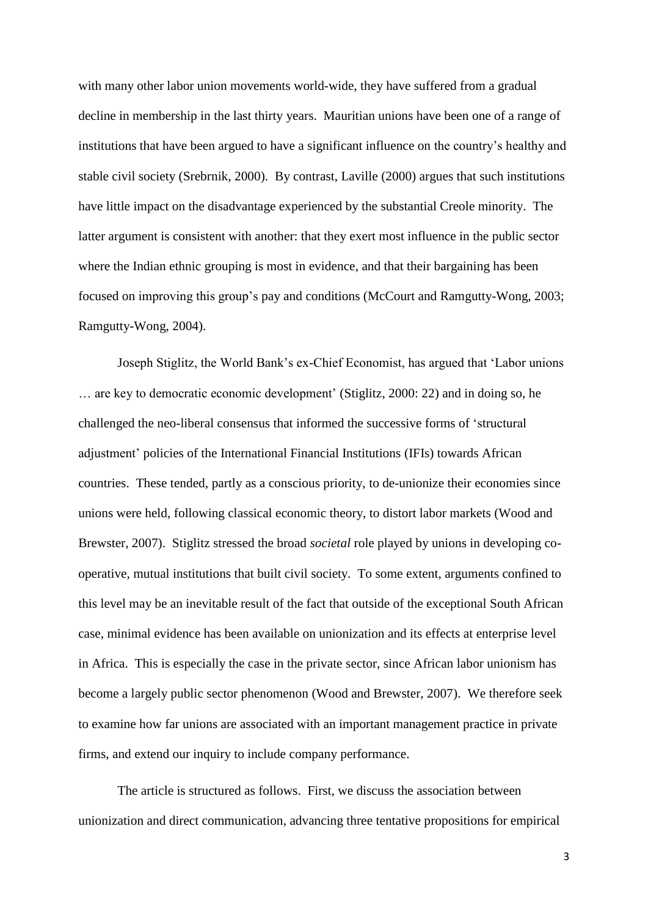with many other labor union movements world-wide, they have suffered from a gradual decline in membership in the last thirty years. Mauritian unions have been one of a range of institutions that have been argued to have a significant influence on the country's healthy and stable civil society (Srebrnik, 2000). By contrast, Laville (2000) argues that such institutions have little impact on the disadvantage experienced by the substantial Creole minority. The latter argument is consistent with another: that they exert most influence in the public sector where the Indian ethnic grouping is most in evidence, and that their bargaining has been focused on improving this group's pay and conditions (McCourt and Ramgutty-Wong, 2003; Ramgutty-Wong, 2004).

Joseph Stiglitz, the World Bank's ex-Chief Economist, has argued that 'Labor unions … are key to democratic economic development' (Stiglitz, 2000: 22) and in doing so, he challenged the neo-liberal consensus that informed the successive forms of 'structural adjustment' policies of the International Financial Institutions (IFIs) towards African countries. These tended, partly as a conscious priority, to de-unionize their economies since unions were held, following classical economic theory, to distort labor markets (Wood and Brewster, 2007). Stiglitz stressed the broad *societal* role played by unions in developing cooperative, mutual institutions that built civil society. To some extent, arguments confined to this level may be an inevitable result of the fact that outside of the exceptional South African case, minimal evidence has been available on unionization and its effects at enterprise level in Africa. This is especially the case in the private sector, since African labor unionism has become a largely public sector phenomenon (Wood and Brewster, 2007). We therefore seek to examine how far unions are associated with an important management practice in private firms, and extend our inquiry to include company performance.

The article is structured as follows. First, we discuss the association between unionization and direct communication, advancing three tentative propositions for empirical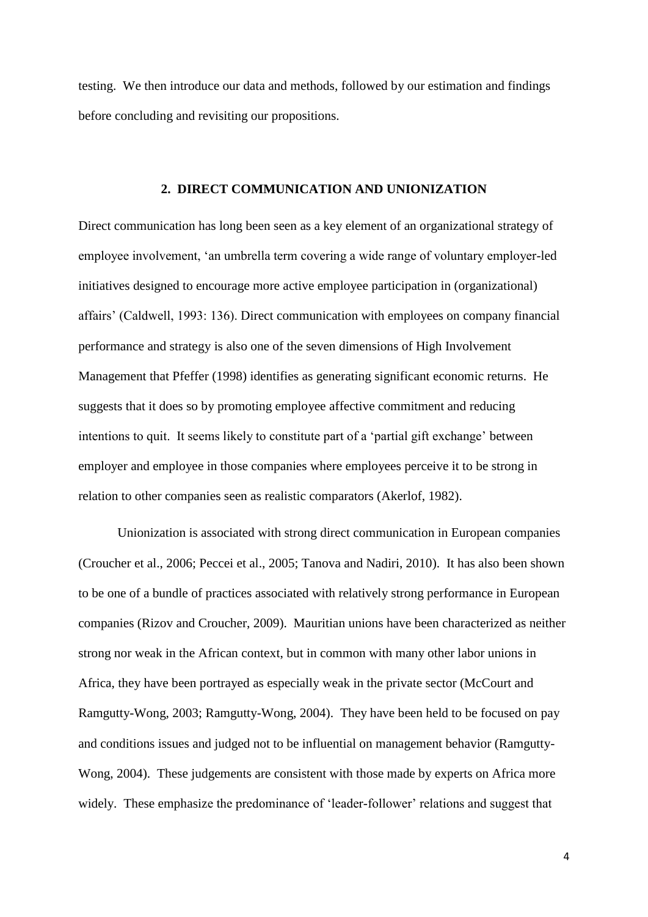testing. We then introduce our data and methods, followed by our estimation and findings before concluding and revisiting our propositions.

#### **2. DIRECT COMMUNICATION AND UNIONIZATION**

Direct communication has long been seen as a key element of an organizational strategy of employee involvement, 'an umbrella term covering a wide range of voluntary employer-led initiatives designed to encourage more active employee participation in (organizational) affairs' (Caldwell, 1993: 136). Direct communication with employees on company financial performance and strategy is also one of the seven dimensions of High Involvement Management that Pfeffer (1998) identifies as generating significant economic returns. He suggests that it does so by promoting employee affective commitment and reducing intentions to quit. It seems likely to constitute part of a 'partial gift exchange' between employer and employee in those companies where employees perceive it to be strong in relation to other companies seen as realistic comparators (Akerlof, 1982).

Unionization is associated with strong direct communication in European companies (Croucher et al., 2006; Peccei et al., 2005; Tanova and Nadiri, 2010). It has also been shown to be one of a bundle of practices associated with relatively strong performance in European companies (Rizov and Croucher, 2009). Mauritian unions have been characterized as neither strong nor weak in the African context, but in common with many other labor unions in Africa, they have been portrayed as especially weak in the private sector (McCourt and Ramgutty-Wong, 2003; Ramgutty-Wong, 2004). They have been held to be focused on pay and conditions issues and judged not to be influential on management behavior (Ramgutty-Wong, 2004). These judgements are consistent with those made by experts on Africa more widely. These emphasize the predominance of 'leader-follower' relations and suggest that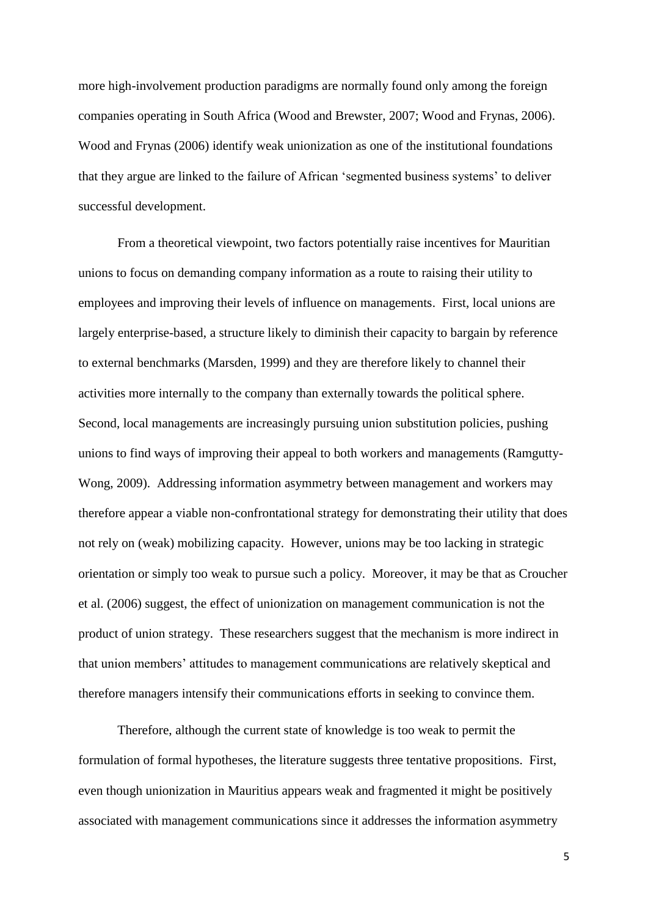more high-involvement production paradigms are normally found only among the foreign companies operating in South Africa (Wood and Brewster, 2007; Wood and Frynas, 2006). Wood and Frynas (2006) identify weak unionization as one of the institutional foundations that they argue are linked to the failure of African 'segmented business systems' to deliver successful development.

From a theoretical viewpoint, two factors potentially raise incentives for Mauritian unions to focus on demanding company information as a route to raising their utility to employees and improving their levels of influence on managements. First, local unions are largely enterprise-based, a structure likely to diminish their capacity to bargain by reference to external benchmarks (Marsden, 1999) and they are therefore likely to channel their activities more internally to the company than externally towards the political sphere. Second, local managements are increasingly pursuing union substitution policies, pushing unions to find ways of improving their appeal to both workers and managements (Ramgutty-Wong, 2009). Addressing information asymmetry between management and workers may therefore appear a viable non-confrontational strategy for demonstrating their utility that does not rely on (weak) mobilizing capacity. However, unions may be too lacking in strategic orientation or simply too weak to pursue such a policy. Moreover, it may be that as Croucher et al. (2006) suggest, the effect of unionization on management communication is not the product of union strategy. These researchers suggest that the mechanism is more indirect in that union members' attitudes to management communications are relatively skeptical and therefore managers intensify their communications efforts in seeking to convince them.

Therefore, although the current state of knowledge is too weak to permit the formulation of formal hypotheses, the literature suggests three tentative propositions. First, even though unionization in Mauritius appears weak and fragmented it might be positively associated with management communications since it addresses the information asymmetry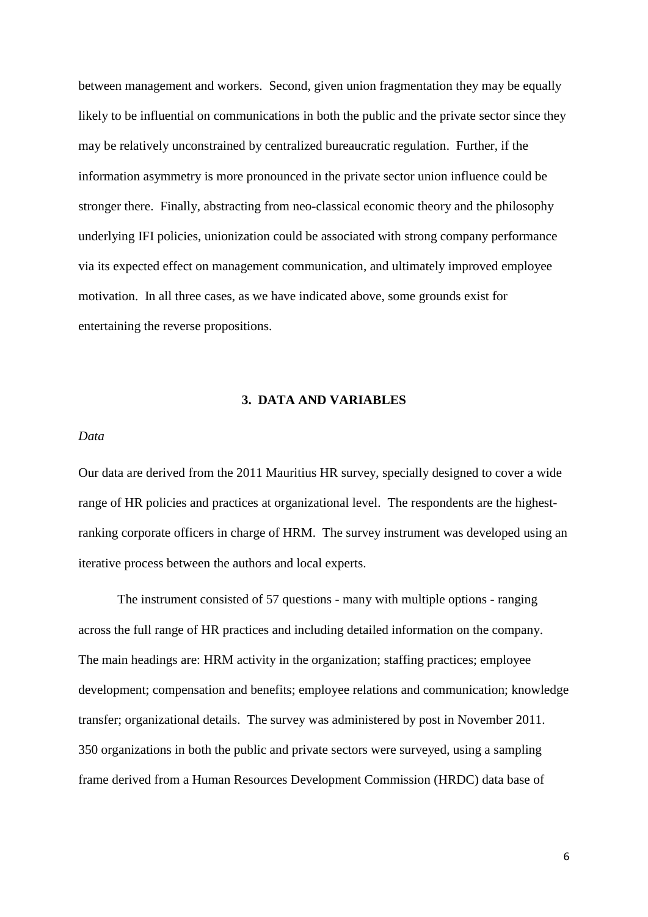between management and workers. Second, given union fragmentation they may be equally likely to be influential on communications in both the public and the private sector since they may be relatively unconstrained by centralized bureaucratic regulation. Further, if the information asymmetry is more pronounced in the private sector union influence could be stronger there. Finally, abstracting from neo-classical economic theory and the philosophy underlying IFI policies, unionization could be associated with strong company performance via its expected effect on management communication, and ultimately improved employee motivation. In all three cases, as we have indicated above, some grounds exist for entertaining the reverse propositions.

## **3. DATA AND VARIABLES**

#### *Data*

Our data are derived from the 2011 Mauritius HR survey, specially designed to cover a wide range of HR policies and practices at organizational level. The respondents are the highestranking corporate officers in charge of HRM. The survey instrument was developed using an iterative process between the authors and local experts.

The instrument consisted of 57 questions - many with multiple options - ranging across the full range of HR practices and including detailed information on the company. The main headings are: HRM activity in the organization; staffing practices; employee development; compensation and benefits; employee relations and communication; knowledge transfer; organizational details. The survey was administered by post in November 2011. 350 organizations in both the public and private sectors were surveyed, using a sampling frame derived from a Human Resources Development Commission (HRDC) data base of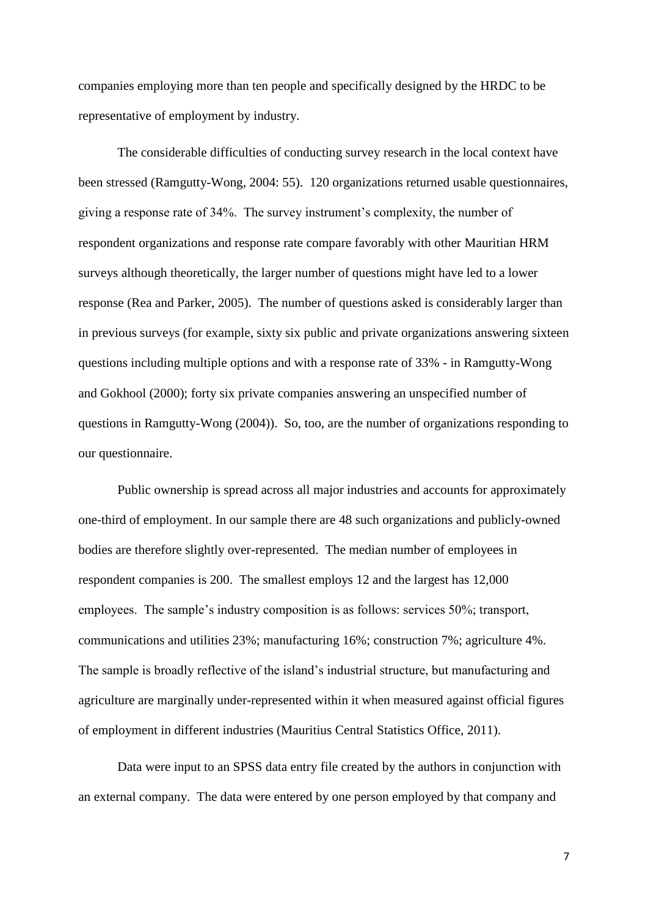companies employing more than ten people and specifically designed by the HRDC to be representative of employment by industry.

The considerable difficulties of conducting survey research in the local context have been stressed (Ramgutty-Wong, 2004: 55). 120 organizations returned usable questionnaires, giving a response rate of 34%. The survey instrument's complexity, the number of respondent organizations and response rate compare favorably with other Mauritian HRM surveys although theoretically, the larger number of questions might have led to a lower response (Rea and Parker, 2005). The number of questions asked is considerably larger than in previous surveys (for example, sixty six public and private organizations answering sixteen questions including multiple options and with a response rate of 33% - in Ramgutty-Wong and Gokhool (2000); forty six private companies answering an unspecified number of questions in Ramgutty-Wong (2004)). So, too, are the number of organizations responding to our questionnaire.

Public ownership is spread across all major industries and accounts for approximately one-third of employment. In our sample there are 48 such organizations and publicly-owned bodies are therefore slightly over-represented. The median number of employees in respondent companies is 200. The smallest employs 12 and the largest has 12,000 employees. The sample's industry composition is as follows: services 50%; transport, communications and utilities 23%; manufacturing 16%; construction 7%; agriculture 4%. The sample is broadly reflective of the island's industrial structure, but manufacturing and agriculture are marginally under-represented within it when measured against official figures of employment in different industries (Mauritius Central Statistics Office, 2011).

Data were input to an SPSS data entry file created by the authors in conjunction with an external company. The data were entered by one person employed by that company and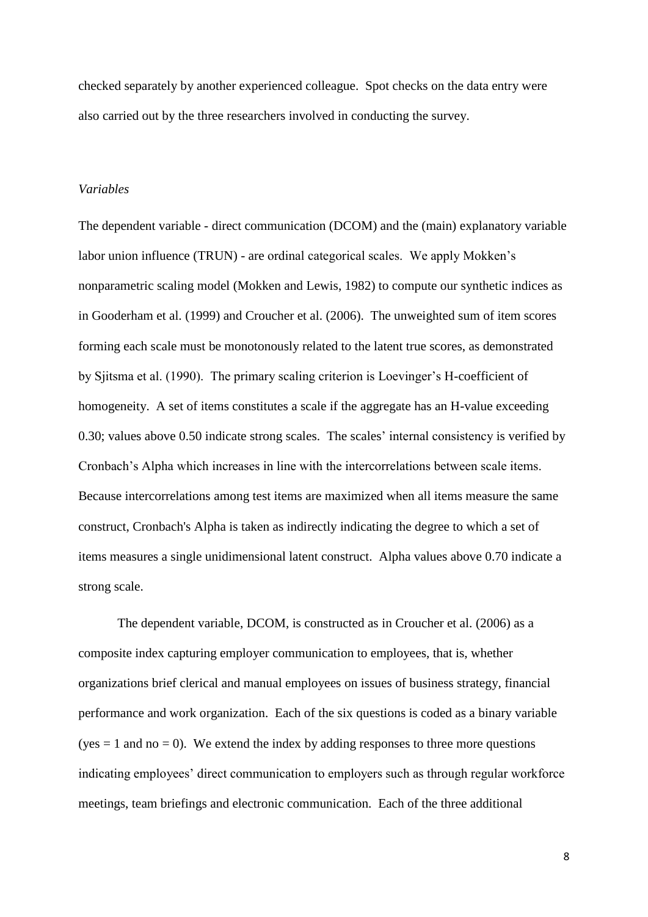checked separately by another experienced colleague. Spot checks on the data entry were also carried out by the three researchers involved in conducting the survey.

#### *Variables*

The dependent variable - direct communication (DCOM) and the (main) explanatory variable labor union influence (TRUN) - are ordinal categorical scales. We apply Mokken's nonparametric scaling model (Mokken and Lewis, 1982) to compute our synthetic indices as in Gooderham et al. (1999) and Croucher et al. (2006). The unweighted sum of item scores forming each scale must be monotonously related to the latent true scores, as demonstrated by Sjitsma et al. (1990). The primary scaling criterion is Loevinger's H-coefficient of homogeneity. A set of items constitutes a scale if the aggregate has an H-value exceeding 0.30; values above 0.50 indicate strong scales. The scales' internal consistency is verified by Cronbach's Alpha which increases in line with the intercorrelations between scale items. Because intercorrelations among test items are maximized when all items measure the same construct, Cronbach's Alpha is taken as indirectly indicating the degree to which a set of items measures a single unidimensional latent construct. Alpha values above 0.70 indicate a strong scale.

The dependent variable, DCOM, is constructed as in Croucher et al. (2006) as a composite index capturing employer communication to employees, that is, whether organizations brief clerical and manual employees on issues of business strategy, financial performance and work organization. Each of the six questions is coded as a binary variable  $(yes = 1$  and no = 0). We extend the index by adding responses to three more questions indicating employees' direct communication to employers such as through regular workforce meetings, team briefings and electronic communication. Each of the three additional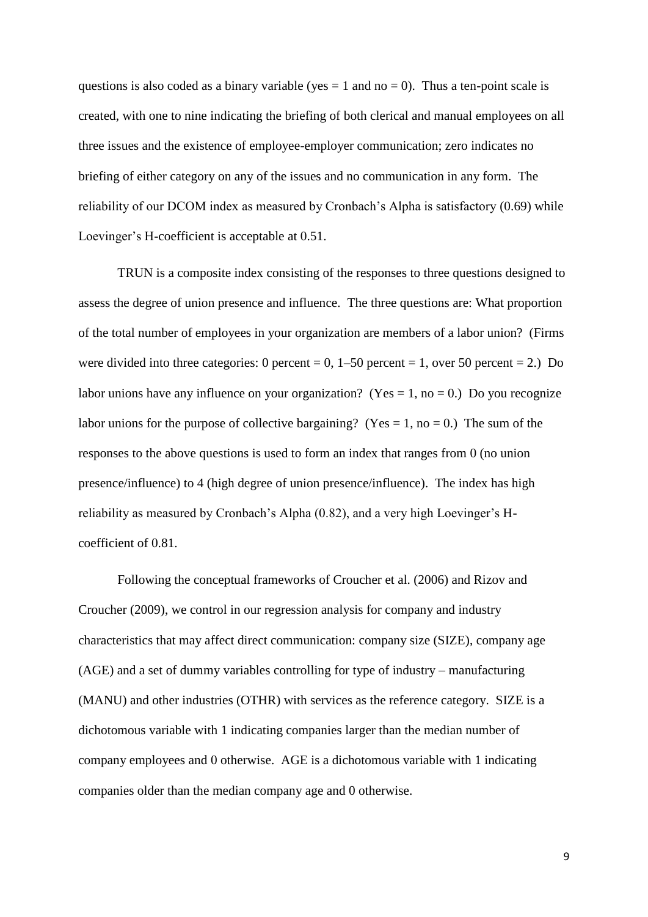questions is also coded as a binary variable (yes  $= 1$  and no  $= 0$ ). Thus a ten-point scale is created, with one to nine indicating the briefing of both clerical and manual employees on all three issues and the existence of employee-employer communication; zero indicates no briefing of either category on any of the issues and no communication in any form. The reliability of our DCOM index as measured by Cronbach's Alpha is satisfactory (0.69) while Loevinger's H-coefficient is acceptable at 0.51.

TRUN is a composite index consisting of the responses to three questions designed to assess the degree of union presence and influence. The three questions are: What proportion of the total number of employees in your organization are members of a labor union? (Firms were divided into three categories: 0 percent = 0,  $1-50$  percent = 1, over 50 percent = 2.) Do labor unions have any influence on your organization? (Yes = 1, no = 0.) Do you recognize labor unions for the purpose of collective bargaining? (Yes = 1, no = 0.) The sum of the responses to the above questions is used to form an index that ranges from 0 (no union presence/influence) to 4 (high degree of union presence/influence). The index has high reliability as measured by Cronbach's Alpha (0.82), and a very high Loevinger's Hcoefficient of 0.81.

Following the conceptual frameworks of Croucher et al. (2006) and Rizov and Croucher (2009), we control in our regression analysis for company and industry characteristics that may affect direct communication: company size (SIZE), company age (AGE) and a set of dummy variables controlling for type of industry – manufacturing (MANU) and other industries (OTHR) with services as the reference category. SIZE is a dichotomous variable with 1 indicating companies larger than the median number of company employees and 0 otherwise. AGE is a dichotomous variable with 1 indicating companies older than the median company age and 0 otherwise.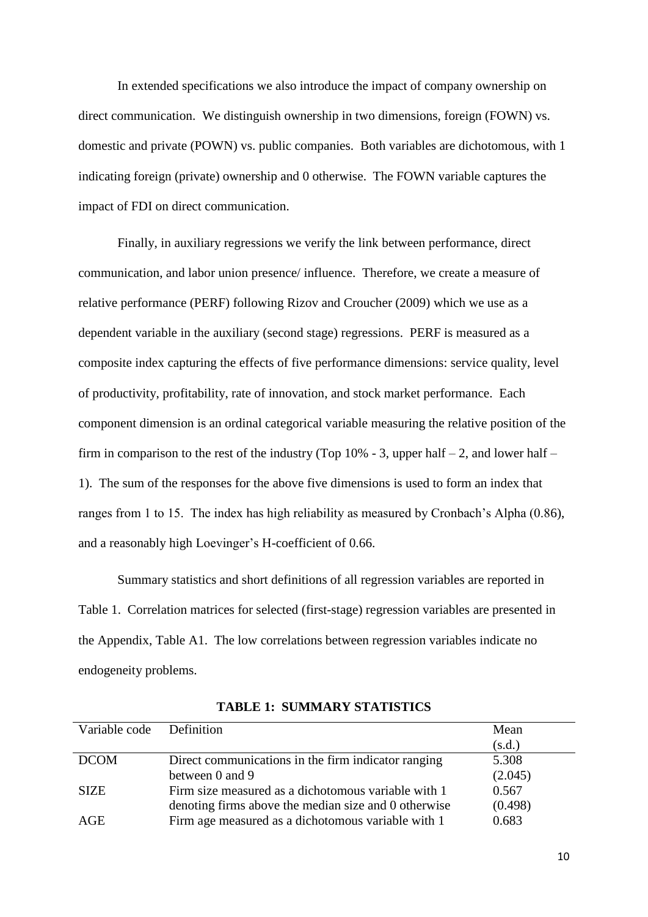In extended specifications we also introduce the impact of company ownership on direct communication. We distinguish ownership in two dimensions, foreign (FOWN) vs. domestic and private (POWN) vs. public companies. Both variables are dichotomous, with 1 indicating foreign (private) ownership and 0 otherwise. The FOWN variable captures the impact of FDI on direct communication.

Finally, in auxiliary regressions we verify the link between performance, direct communication, and labor union presence/ influence. Therefore, we create a measure of relative performance (PERF) following Rizov and Croucher (2009) which we use as a dependent variable in the auxiliary (second stage) regressions. PERF is measured as a composite index capturing the effects of five performance dimensions: service quality, level of productivity, profitability, rate of innovation, and stock market performance. Each component dimension is an ordinal categorical variable measuring the relative position of the firm in comparison to the rest of the industry (Top  $10\%$  - 3, upper half – 2, and lower half – 1). The sum of the responses for the above five dimensions is used to form an index that ranges from 1 to 15. The index has high reliability as measured by Cronbach's Alpha (0.86), and a reasonably high Loevinger's H-coefficient of 0.66.

Summary statistics and short definitions of all regression variables are reported in Table 1. Correlation matrices for selected (first-stage) regression variables are presented in the Appendix, Table A1. The low correlations between regression variables indicate no endogeneity problems.

| Variable code Definition |                                                      | Mean    |
|--------------------------|------------------------------------------------------|---------|
|                          |                                                      | (s.d.)  |
| <b>DCOM</b>              | Direct communications in the firm indicator ranging  | 5.308   |
|                          | between 0 and 9                                      | (2.045) |
| <b>SIZE</b>              | Firm size measured as a dichotomous variable with 1  | 0.567   |
|                          | denoting firms above the median size and 0 otherwise | (0.498) |
| AGE                      | Firm age measured as a dichotomous variable with 1   | 0.683   |

**TABLE 1: SUMMARY STATISTICS**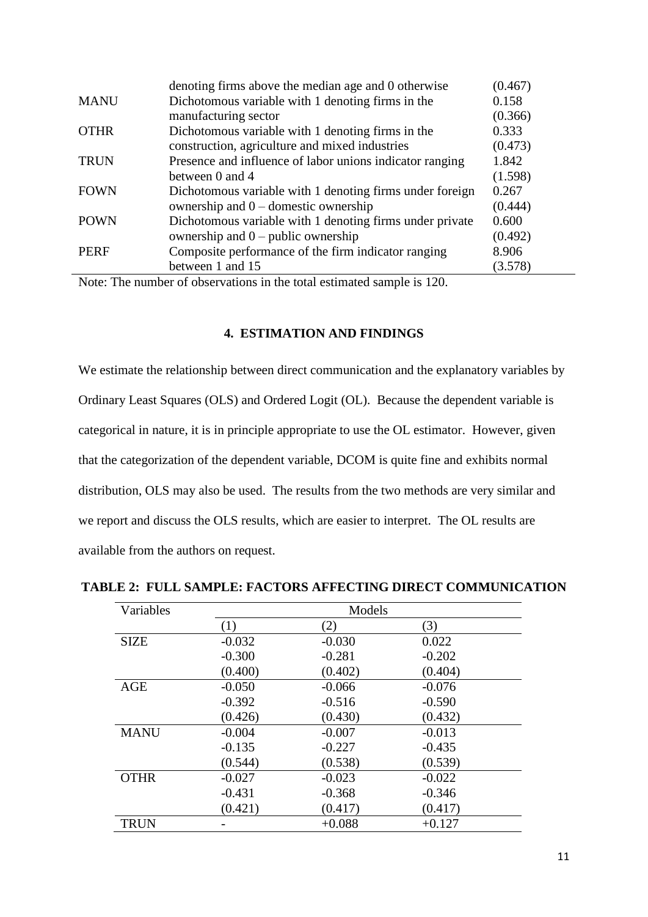|             | denoting firms above the median age and 0 otherwise      | (0.467) |
|-------------|----------------------------------------------------------|---------|
| <b>MANU</b> | Dichotomous variable with 1 denoting firms in the        | 0.158   |
|             | manufacturing sector                                     | (0.366) |
| <b>OTHR</b> | Dichotomous variable with 1 denoting firms in the        | 0.333   |
|             | construction, agriculture and mixed industries           | (0.473) |
| <b>TRUN</b> | Presence and influence of labor unions indicator ranging | 1.842   |
|             | between 0 and 4                                          | (1.598) |
| <b>FOWN</b> | Dichotomous variable with 1 denoting firms under foreign | 0.267   |
|             | ownership and $0$ – domestic ownership                   | (0.444) |
| <b>POWN</b> | Dichotomous variable with 1 denoting firms under private | 0.600   |
|             | ownership and $0$ – public ownership                     | (0.492) |
| <b>PERF</b> | Composite performance of the firm indicator ranging      | 8.906   |
|             | between 1 and 15                                         | (3.578) |

Note: The number of observations in the total estimated sample is 120.

# **4. ESTIMATION AND FINDINGS**

We estimate the relationship between direct communication and the explanatory variables by Ordinary Least Squares (OLS) and Ordered Logit (OL). Because the dependent variable is categorical in nature, it is in principle appropriate to use the OL estimator. However, given that the categorization of the dependent variable, DCOM is quite fine and exhibits normal distribution, OLS may also be used. The results from the two methods are very similar and we report and discuss the OLS results, which are easier to interpret. The OL results are available from the authors on request.

| Variables   | Models   |          |          |  |  |
|-------------|----------|----------|----------|--|--|
|             | (1)      | (2)      | (3)      |  |  |
| <b>SIZE</b> | $-0.032$ | $-0.030$ | 0.022    |  |  |
|             | $-0.300$ | $-0.281$ | $-0.202$ |  |  |
|             | (0.400)  | (0.402)  | (0.404)  |  |  |
| AGE         | $-0.050$ | $-0.066$ | $-0.076$ |  |  |
|             | $-0.392$ | $-0.516$ | $-0.590$ |  |  |
|             | (0.426)  | (0.430)  | (0.432)  |  |  |
| <b>MANU</b> | $-0.004$ | $-0.007$ | $-0.013$ |  |  |
|             | $-0.135$ | $-0.227$ | $-0.435$ |  |  |
|             | (0.544)  | (0.538)  | (0.539)  |  |  |
| <b>OTHR</b> | $-0.027$ | $-0.023$ | $-0.022$ |  |  |
|             | $-0.431$ | $-0.368$ | $-0.346$ |  |  |
|             | (0.421)  | (0.417)  | (0.417)  |  |  |
| <b>TRUN</b> |          | $+0.088$ | $+0.127$ |  |  |

#### **TABLE 2: FULL SAMPLE: FACTORS AFFECTING DIRECT COMMUNICATION**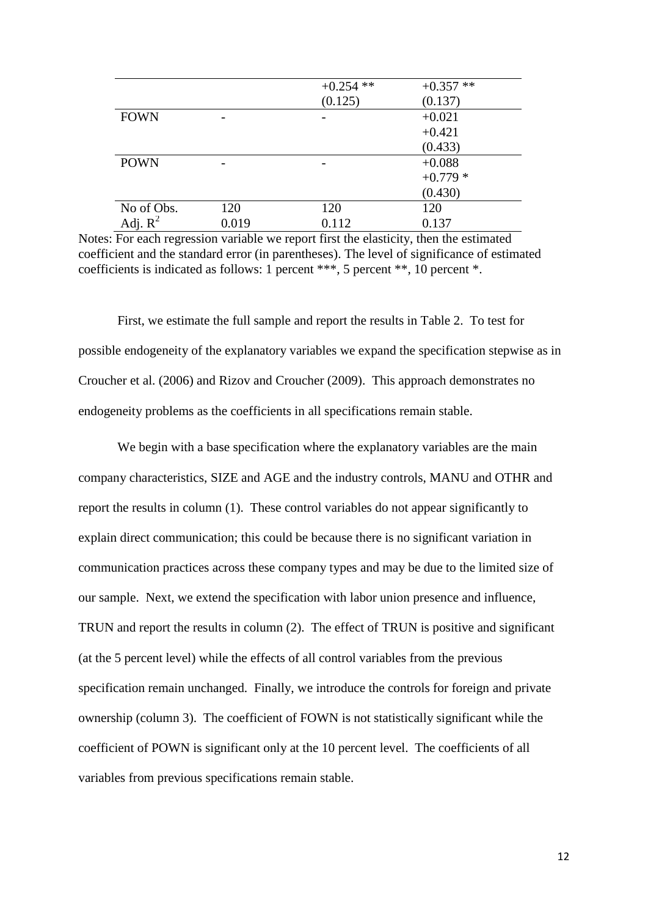|             |       | $+0.254$ ** | $+0.357**$ |
|-------------|-------|-------------|------------|
|             |       | (0.125)     | (0.137)    |
| <b>FOWN</b> |       |             | $+0.021$   |
|             |       |             | $+0.421$   |
|             |       |             | (0.433)    |
| <b>POWN</b> |       |             | $+0.088$   |
|             |       |             | $+0.779*$  |
|             |       |             | (0.430)    |
| No of Obs.  | 120   | 120         | 120        |
| Adj. $R^2$  | 0.019 | 0.112       | 0.137      |

Notes: For each regression variable we report first the elasticity, then the estimated coefficient and the standard error (in parentheses). The level of significance of estimated coefficients is indicated as follows: 1 percent \*\*\*, 5 percent \*\*, 10 percent \*.

First, we estimate the full sample and report the results in Table 2. To test for possible endogeneity of the explanatory variables we expand the specification stepwise as in Croucher et al. (2006) and Rizov and Croucher (2009). This approach demonstrates no endogeneity problems as the coefficients in all specifications remain stable.

We begin with a base specification where the explanatory variables are the main company characteristics, SIZE and AGE and the industry controls, MANU and OTHR and report the results in column (1). These control variables do not appear significantly to explain direct communication; this could be because there is no significant variation in communication practices across these company types and may be due to the limited size of our sample. Next, we extend the specification with labor union presence and influence, TRUN and report the results in column (2). The effect of TRUN is positive and significant (at the 5 percent level) while the effects of all control variables from the previous specification remain unchanged. Finally, we introduce the controls for foreign and private ownership (column 3). The coefficient of FOWN is not statistically significant while the coefficient of POWN is significant only at the 10 percent level. The coefficients of all variables from previous specifications remain stable.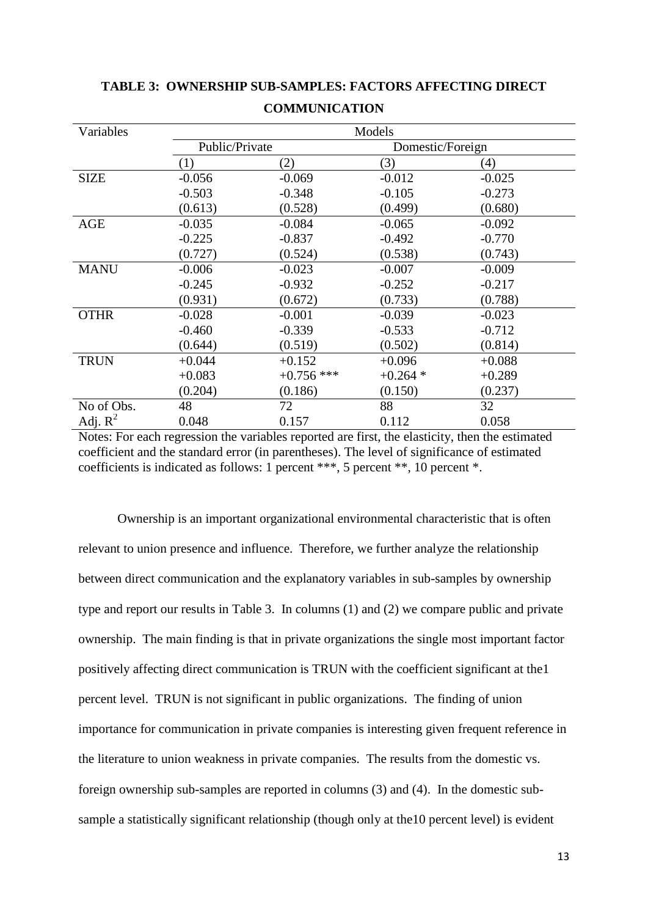| Variables   | Models         |              |                  |          |  |
|-------------|----------------|--------------|------------------|----------|--|
|             | Public/Private |              | Domestic/Foreign |          |  |
|             | (1)            | (2)          | (3)              | (4)      |  |
| <b>SIZE</b> | $-0.056$       | $-0.069$     | $-0.012$         | $-0.025$ |  |
|             | $-0.503$       | $-0.348$     | $-0.105$         | $-0.273$ |  |
|             | (0.613)        | (0.528)      | (0.499)          | (0.680)  |  |
| <b>AGE</b>  | $-0.035$       | $-0.084$     | $-0.065$         | $-0.092$ |  |
|             | $-0.225$       | $-0.837$     | $-0.492$         | $-0.770$ |  |
|             | (0.727)        | (0.524)      | (0.538)          | (0.743)  |  |
| <b>MANU</b> | $-0.006$       | $-0.023$     | $-0.007$         | $-0.009$ |  |
|             | $-0.245$       | $-0.932$     | $-0.252$         | $-0.217$ |  |
|             | (0.931)        | (0.672)      | (0.733)          | (0.788)  |  |
| <b>OTHR</b> | $-0.028$       | $-0.001$     | $-0.039$         | $-0.023$ |  |
|             | $-0.460$       | $-0.339$     | $-0.533$         | $-0.712$ |  |
|             | (0.644)        | (0.519)      | (0.502)          | (0.814)  |  |
| <b>TRUN</b> | $+0.044$       | $+0.152$     | $+0.096$         | $+0.088$ |  |
|             | $+0.083$       | $+0.756$ *** | $+0.264*$        | $+0.289$ |  |
|             | (0.204)        | (0.186)      | (0.150)          | (0.237)  |  |
| No of Obs.  | 48             | 72           | 88               | 32       |  |
| Adj. $R^2$  | 0.048          | 0.157        | 0.112            | 0.058    |  |

# **TABLE 3: OWNERSHIP SUB-SAMPLES: FACTORS AFFECTING DIRECT COMMUNICATION**

Notes: For each regression the variables reported are first, the elasticity, then the estimated coefficient and the standard error (in parentheses). The level of significance of estimated coefficients is indicated as follows: 1 percent \*\*\*, 5 percent \*\*, 10 percent \*.

Ownership is an important organizational environmental characteristic that is often relevant to union presence and influence. Therefore, we further analyze the relationship between direct communication and the explanatory variables in sub-samples by ownership type and report our results in Table 3. In columns (1) and (2) we compare public and private ownership. The main finding is that in private organizations the single most important factor positively affecting direct communication is TRUN with the coefficient significant at the1 percent level. TRUN is not significant in public organizations. The finding of union importance for communication in private companies is interesting given frequent reference in the literature to union weakness in private companies. The results from the domestic vs. foreign ownership sub-samples are reported in columns (3) and (4). In the domestic subsample a statistically significant relationship (though only at the10 percent level) is evident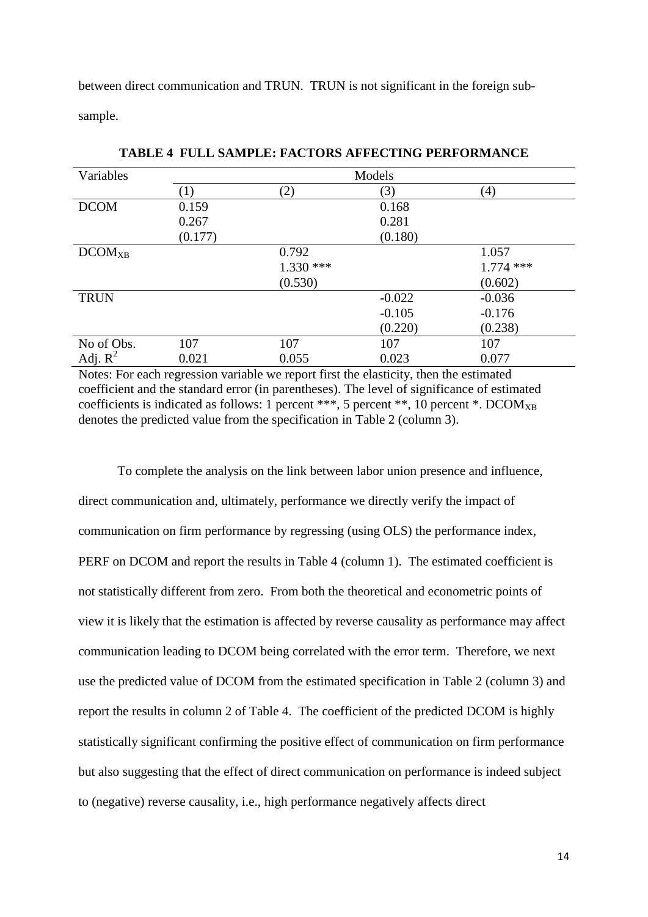between direct communication and TRUN. TRUN is not significant in the foreign subsample.

| Variables          | Models  |             |          |             |  |
|--------------------|---------|-------------|----------|-------------|--|
|                    | (1)     | (2)         | (3)      | (4)         |  |
| <b>DCOM</b>        | 0.159   |             | 0.168    |             |  |
|                    | 0.267   |             | 0.281    |             |  |
|                    | (0.177) |             | (0.180)  |             |  |
| DCOM <sub>XB</sub> |         | 0.792       |          | 1.057       |  |
|                    |         | $1.330$ *** |          | $1.774$ *** |  |
|                    |         | (0.530)     |          | (0.602)     |  |
| <b>TRUN</b>        |         |             | $-0.022$ | $-0.036$    |  |
|                    |         |             | $-0.105$ | $-0.176$    |  |
|                    |         |             | (0.220)  | (0.238)     |  |
| No of Obs.         | 107     | 107         | 107      | 107         |  |
| Adj. $R^2$         | 0.021   | 0.055       | 0.023    | 0.077       |  |

**TABLE 4 FULL SAMPLE: FACTORS AFFECTING PERFORMANCE**

Notes: For each regression variable we report first the elasticity, then the estimated coefficient and the standard error (in parentheses). The level of significance of estimated coefficients is indicated as follows: 1 percent \*\*\*, 5 percent \*\*, 10 percent \*. DCOM<sub>XB</sub> denotes the predicted value from the specification in Table 2 (column 3).

To complete the analysis on the link between labor union presence and influence, direct communication and, ultimately, performance we directly verify the impact of communication on firm performance by regressing (using OLS) the performance index, PERF on DCOM and report the results in Table 4 (column 1). The estimated coefficient is not statistically different from zero. From both the theoretical and econometric points of view it is likely that the estimation is affected by reverse causality as performance may affect communication leading to DCOM being correlated with the error term. Therefore, we next use the predicted value of DCOM from the estimated specification in Table 2 (column 3) and report the results in column 2 of Table 4. The coefficient of the predicted DCOM is highly statistically significant confirming the positive effect of communication on firm performance but also suggesting that the effect of direct communication on performance is indeed subject to (negative) reverse causality, i.e., high performance negatively affects direct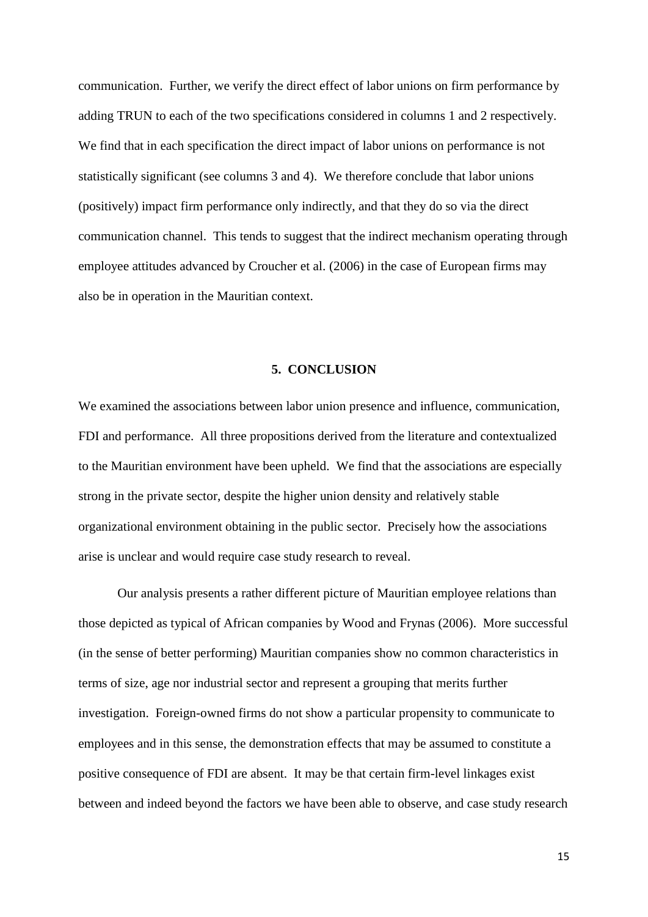communication. Further, we verify the direct effect of labor unions on firm performance by adding TRUN to each of the two specifications considered in columns 1 and 2 respectively. We find that in each specification the direct impact of labor unions on performance is not statistically significant (see columns 3 and 4). We therefore conclude that labor unions (positively) impact firm performance only indirectly, and that they do so via the direct communication channel. This tends to suggest that the indirect mechanism operating through employee attitudes advanced by Croucher et al. (2006) in the case of European firms may also be in operation in the Mauritian context.

#### **5. CONCLUSION**

We examined the associations between labor union presence and influence, communication, FDI and performance. All three propositions derived from the literature and contextualized to the Mauritian environment have been upheld. We find that the associations are especially strong in the private sector, despite the higher union density and relatively stable organizational environment obtaining in the public sector. Precisely how the associations arise is unclear and would require case study research to reveal.

Our analysis presents a rather different picture of Mauritian employee relations than those depicted as typical of African companies by Wood and Frynas (2006). More successful (in the sense of better performing) Mauritian companies show no common characteristics in terms of size, age nor industrial sector and represent a grouping that merits further investigation. Foreign-owned firms do not show a particular propensity to communicate to employees and in this sense, the demonstration effects that may be assumed to constitute a positive consequence of FDI are absent. It may be that certain firm-level linkages exist between and indeed beyond the factors we have been able to observe, and case study research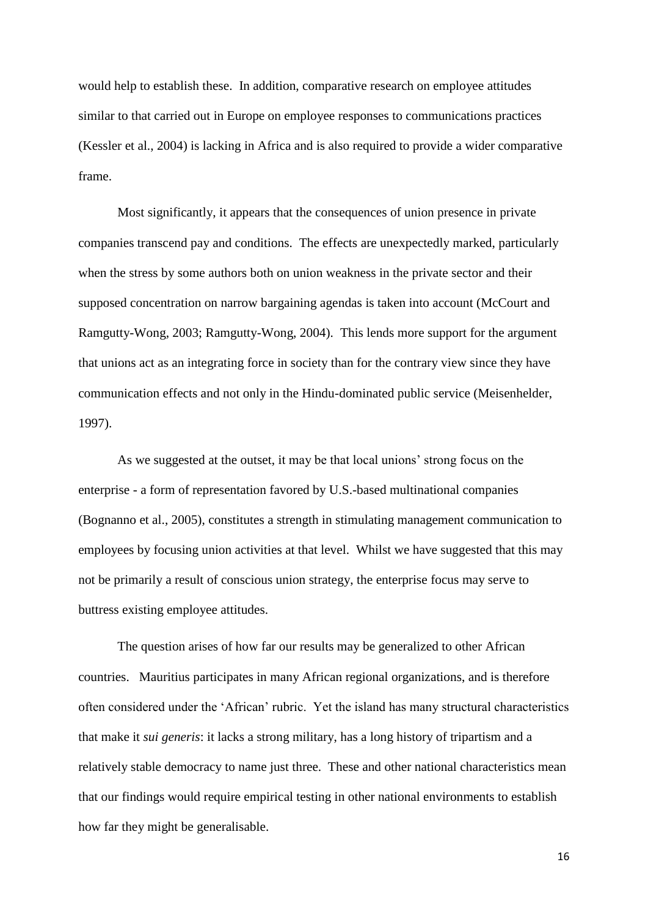would help to establish these. In addition, comparative research on employee attitudes similar to that carried out in Europe on employee responses to communications practices (Kessler et al., 2004) is lacking in Africa and is also required to provide a wider comparative frame.

Most significantly, it appears that the consequences of union presence in private companies transcend pay and conditions. The effects are unexpectedly marked, particularly when the stress by some authors both on union weakness in the private sector and their supposed concentration on narrow bargaining agendas is taken into account (McCourt and Ramgutty-Wong, 2003; Ramgutty-Wong, 2004). This lends more support for the argument that unions act as an integrating force in society than for the contrary view since they have communication effects and not only in the Hindu-dominated public service (Meisenhelder, 1997).

As we suggested at the outset, it may be that local unions' strong focus on the enterprise - a form of representation favored by U.S.-based multinational companies (Bognanno et al., 2005), constitutes a strength in stimulating management communication to employees by focusing union activities at that level. Whilst we have suggested that this may not be primarily a result of conscious union strategy, the enterprise focus may serve to buttress existing employee attitudes.

The question arises of how far our results may be generalized to other African countries. Mauritius participates in many African regional organizations, and is therefore often considered under the 'African' rubric. Yet the island has many structural characteristics that make it *sui generis*: it lacks a strong military, has a long history of tripartism and a relatively stable democracy to name just three. These and other national characteristics mean that our findings would require empirical testing in other national environments to establish how far they might be generalisable.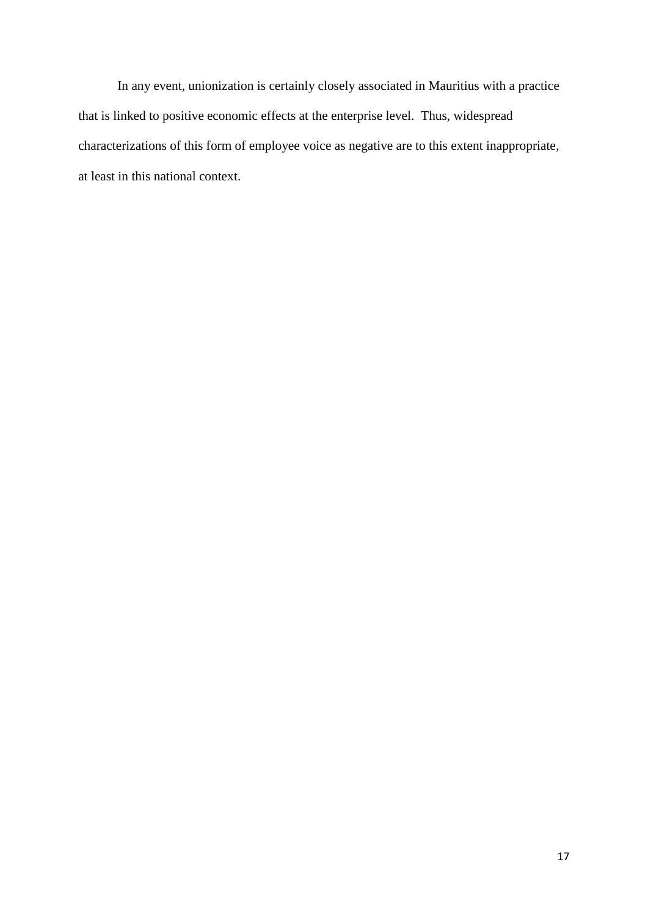In any event, unionization is certainly closely associated in Mauritius with a practice that is linked to positive economic effects at the enterprise level. Thus, widespread characterizations of this form of employee voice as negative are to this extent inappropriate, at least in this national context.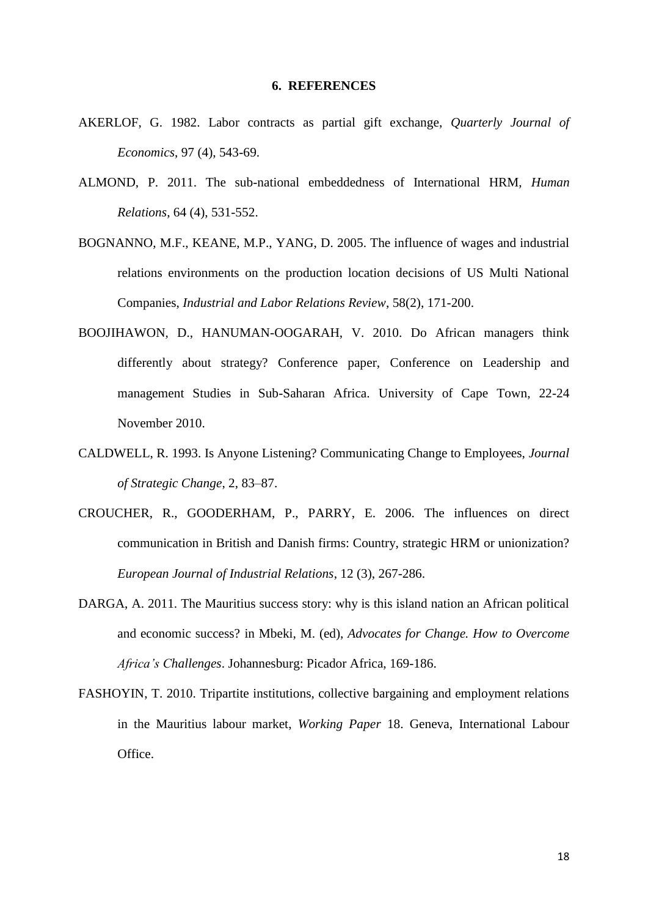#### **6. REFERENCES**

- AKERLOF, G. 1982. Labor contracts as partial gift exchange, *Quarterly Journal of Economics*, 97 (4), 543-69.
- ALMOND, P. 2011. The sub-national embeddedness of International HRM, *Human Relations*, 64 (4), 531-552.
- BOGNANNO, M.F., KEANE, M.P., YANG, D. 2005. The influence of wages and industrial relations environments on the production location decisions of US Multi National Companies, *Industrial and Labor Relations Review*, 58(2), 171-200.
- BOOJIHAWON, D., HANUMAN-OOGARAH, V. 2010. Do African managers think differently about strategy? Conference paper, Conference on Leadership and management Studies in Sub-Saharan Africa. University of Cape Town, 22-24 November 2010.
- CALDWELL, R. 1993. Is Anyone Listening? Communicating Change to Employees, *Journal of Strategic Change*, 2, 83–87.
- CROUCHER, R., GOODERHAM, P., PARRY, E. 2006. The influences on direct communication in British and Danish firms: Country, strategic HRM or unionization? *European Journal of Industrial Relations*, 12 (3), 267-286.
- DARGA, A. 2011. The Mauritius success story: why is this island nation an African political and economic success? in Mbeki, M. (ed), *Advocates for Change. How to Overcome Africa's Challenges*. Johannesburg: Picador Africa, 169-186.
- FASHOYIN, T. 2010. Tripartite institutions, collective bargaining and employment relations in the Mauritius labour market, *Working Paper* 18. Geneva, International Labour Office.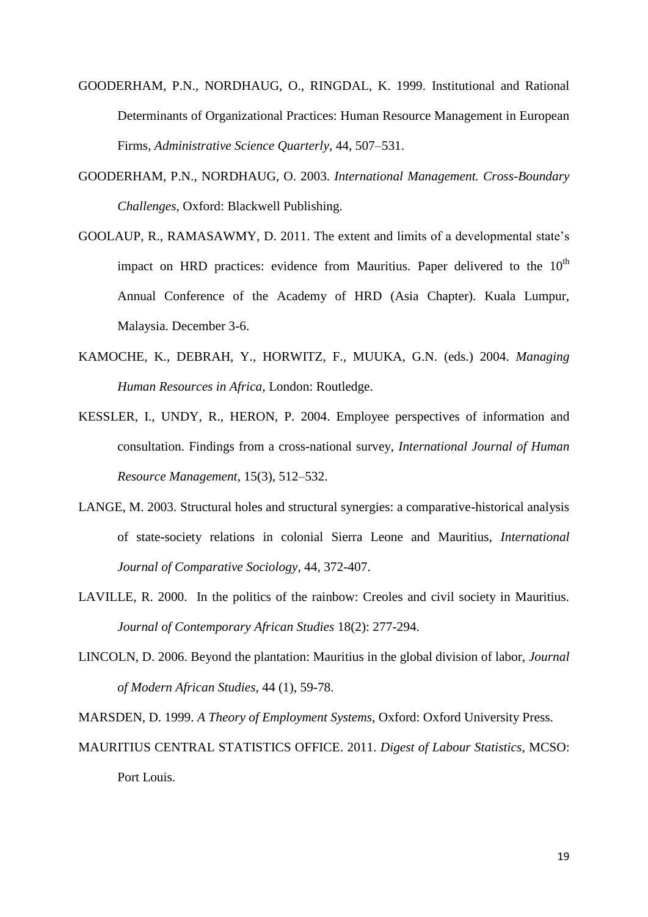- GOODERHAM, P.N., NORDHAUG, O., RINGDAL, K. 1999. Institutional and Rational Determinants of Organizational Practices: Human Resource Management in European Firms, *Administrative Science Quarterly*, 44, 507–531.
- GOODERHAM, P.N., NORDHAUG, O. 2003. *International Management. Cross-Boundary Challenges*, Oxford: Blackwell Publishing.
- GOOLAUP, R., RAMASAWMY, D. 2011. The extent and limits of a developmental state's impact on HRD practices: evidence from Mauritius. Paper delivered to the  $10<sup>th</sup>$ Annual Conference of the Academy of HRD (Asia Chapter). Kuala Lumpur, Malaysia. December 3-6.
- KAMOCHE, K., DEBRAH, Y., HORWITZ, F., MUUKA, G.N. (eds.) 2004. *Managing Human Resources in Africa*, London: Routledge.
- KESSLER, I., UNDY, R., HERON, P. 2004. Employee perspectives of information and consultation. Findings from a cross-national survey, *International Journal of Human Resource Management*, 15(3), 512–532.
- LANGE, M. 2003. Structural holes and structural synergies: a comparative-historical analysis of state-society relations in colonial Sierra Leone and Mauritius, *International Journal of Comparative Sociology*, 44, 372-407.
- LAVILLE, R. 2000. In the politics of the rainbow: Creoles and civil society in Mauritius. *Journal of Contemporary African Studies* 18(2): 277-294.
- LINCOLN, D. 2006. Beyond the plantation: Mauritius in the global division of labor, *Journal of Modern African Studies*, 44 (1), 59-78.

MARSDEN, D. 1999. *A Theory of Employment Systems*, Oxford: Oxford University Press. MAURITIUS CENTRAL STATISTICS OFFICE. 2011. *Digest of Labour Statistics*, MCSO: Port Louis.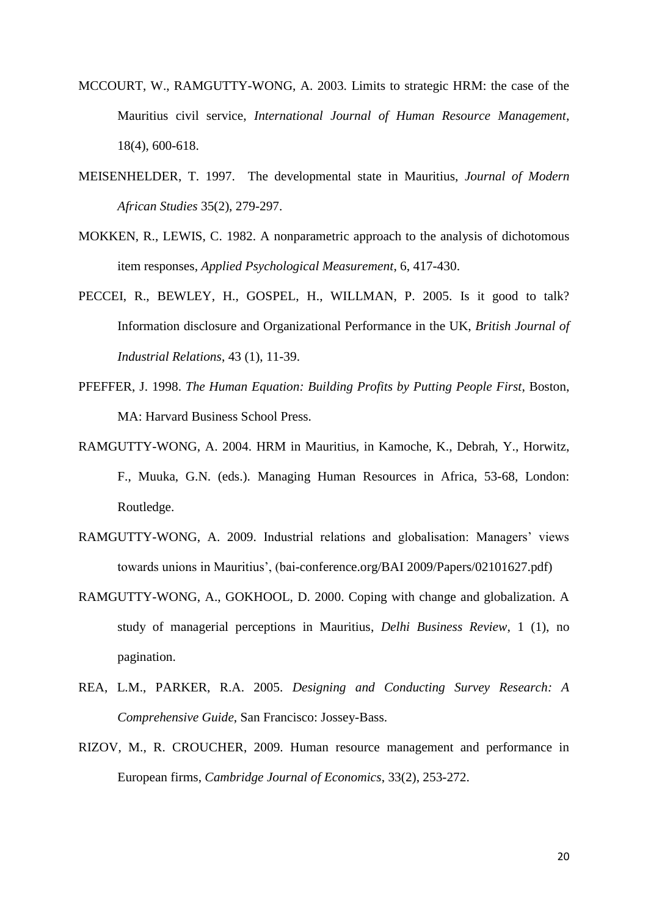- MCCOURT, W., RAMGUTTY-WONG, A. 2003. Limits to strategic HRM: the case of the Mauritius civil service, *International Journal of Human Resource Management*, 18(4), 600-618.
- MEISENHELDER, T. 1997. The developmental state in Mauritius, *Journal of Modern African Studies* 35(2), 279-297.
- MOKKEN, R., LEWIS, C. 1982. A nonparametric approach to the analysis of dichotomous item responses, *Applied Psychological Measurement*, 6, 417-430.
- PECCEI, R., BEWLEY, H., GOSPEL, H., WILLMAN, P. 2005. Is it good to talk? Information disclosure and Organizational Performance in the UK, *British Journal of Industrial Relations*, 43 (1), 11-39.
- PFEFFER, J. 1998. *The Human Equation: Building Profits by Putting People First*, Boston, MA: Harvard Business School Press.
- RAMGUTTY-WONG, A. 2004. HRM in Mauritius, in Kamoche, K., Debrah, Y., Horwitz, F., Muuka, G.N. (eds.). Managing Human Resources in Africa, 53-68, London: Routledge.
- RAMGUTTY-WONG, A. 2009. Industrial relations and globalisation: Managers' views towards unions in Mauritius', (bai-conference.org/BAI 2009/Papers/02101627.pdf)
- RAMGUTTY-WONG, A., GOKHOOL, D. 2000. Coping with change and globalization. A study of managerial perceptions in Mauritius, *Delhi Business Review*, 1 (1), no pagination.
- REA, L.M., PARKER, R.A. 2005. *Designing and Conducting Survey Research: A Comprehensive Guide*, San Francisco: Jossey-Bass.
- RIZOV, M., R. CROUCHER, 2009. Human resource management and performance in European firms, *Cambridge Journal of Economics*, 33(2), 253-272.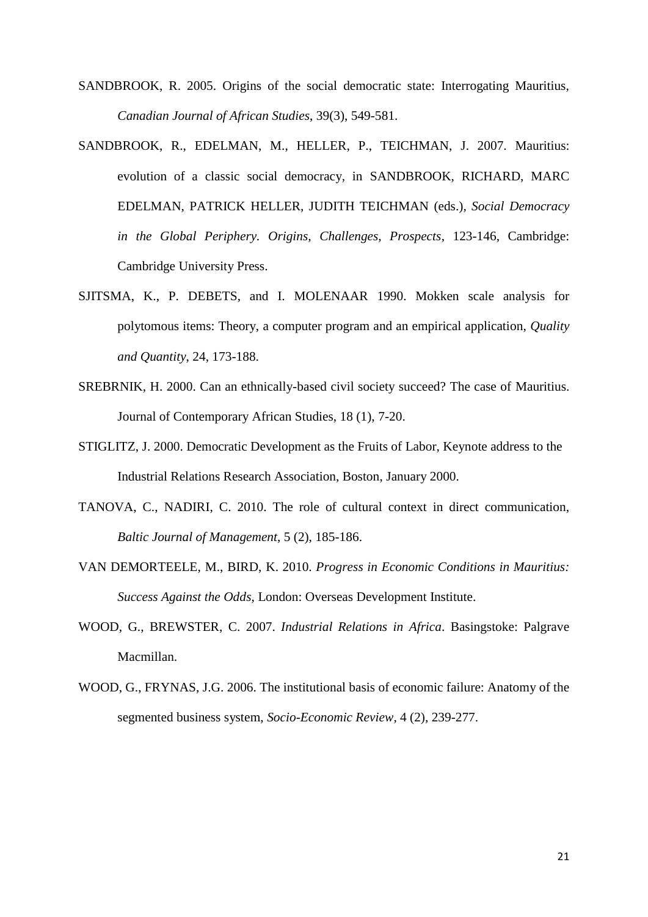- SANDBROOK, R. 2005. Origins of the social democratic state: Interrogating Mauritius, *Canadian Journal of African Studies*, 39(3), 549-581.
- SANDBROOK, R., EDELMAN, M., HELLER, P., TEICHMAN, J. 2007. Mauritius: evolution of a classic social democracy, in SANDBROOK, RICHARD, MARC EDELMAN, PATRICK HELLER, JUDITH TEICHMAN (eds.), *Social Democracy in the Global Periphery. Origins, Challenges, Prospects*, 123-146, Cambridge: Cambridge University Press.
- SJITSMA, K., P. DEBETS, and I. MOLENAAR 1990. Mokken scale analysis for polytomous items: Theory, a computer program and an empirical application, *Quality and Quantity*, 24, 173-188.
- SREBRNIK, H. 2000. Can an ethnically-based civil society succeed? The case of Mauritius. Journal of Contemporary African Studies, 18 (1), 7-20.
- STIGLITZ, J. 2000. Democratic Development as the Fruits of Labor, Keynote address to the Industrial Relations Research Association, Boston, January 2000.
- TANOVA, C., NADIRI, C. 2010. The role of cultural context in direct communication, *Baltic Journal of Management*, 5 (2), 185-186.
- VAN DEMORTEELE, M., BIRD, K. 2010. *Progress in Economic Conditions in Mauritius: Success Against the Odds*, London: Overseas Development Institute.
- WOOD, G., BREWSTER, C. 2007. *Industrial Relations in Africa*. Basingstoke: Palgrave Macmillan.
- WOOD, G., FRYNAS, J.G. 2006. The institutional basis of economic failure: Anatomy of the segmented business system, *Socio-Economic Review*, 4 (2), 239-277.